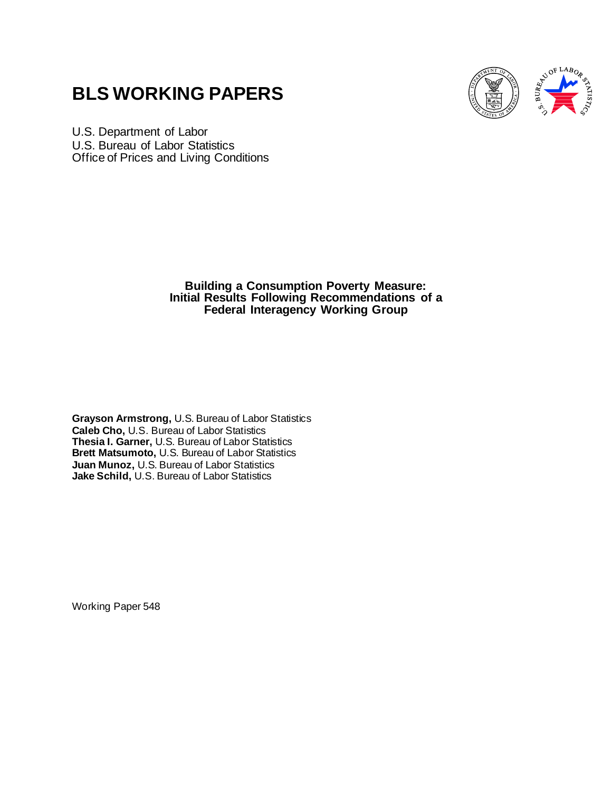# **BLS WORKING PAPERS**



U.S. Department of Labor U.S. Bureau of Labor Statistics Office of Prices and Living Conditions

> **Building a Consumption Poverty Measure: Initial Results Following Recommendations of a Federal Interagency Working Group**

**Grayson Armstrong,** U.S. Bureau of Labor Statistics **Caleb Cho,** U.S. Bureau of Labor Statistics **Thesia I. Garner,** U.S. Bureau of Labor Statistics **Brett Matsumoto,** U.S. Bureau of Labor Statistics **Juan Munoz,** U.S. Bureau of Labor Statistics **Jake Schild,** U.S. Bureau of Labor Statistics

Working Paper 548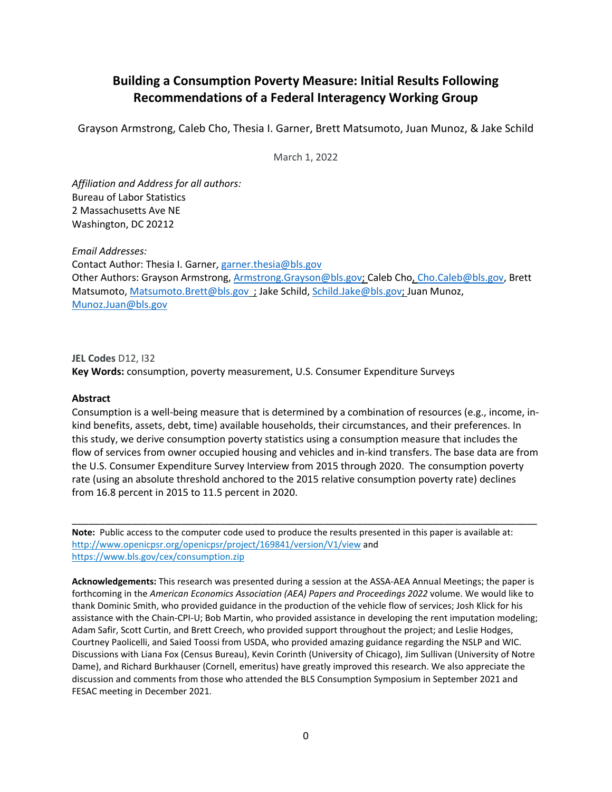# **Building a Consumption Poverty Measure: Initial Results Following Recommendations of a Federal Interagency Working Group**

Grayson Armstrong, Caleb Cho, Thesia I. Garner, Brett Matsumoto, Juan Munoz, & Jake Schild

March 1, 2022

*Affiliation and Address for all authors:* Bureau of Labor Statistics 2 Massachusetts Ave NE Washington, DC 20212

*Email Addresses:* Contact Author: Thesia I. Garner[, garner.thesia@bls.gov](mailto:garner.thesia@bls.gov) Other Authors: Grayson Armstrong[, Armstrong.Grayson@bls.gov;](mailto:Armstrong.Grayson@bls.gov) Caleb Cho[, Cho.Caleb@bls.gov,](mailto:Cho.Caleb@bls.gov) Brett Matsumoto[, Matsumoto.Brett@bls.gov](mailto:Matsumoto.Brett@bls.gov) ; Jake Schild[, Schild.Jake@bls.gov;](mailto:Schild.Jake@bls.gov) Juan Munoz, [Munoz.Juan@bls.gov](mailto:Munoz.Juan@bls.gov)

**JEL Codes** D12, I32 **Key Words:** consumption, poverty measurement, U.S. Consumer Expenditure Surveys

#### **Abstract**

Consumption is a well-being measure that is determined by a combination of resources (e.g., income, inkind benefits, assets, debt, time) available households, their circumstances, and their preferences. In this study, we derive consumption poverty statistics using a consumption measure that includes the flow of services from owner occupied housing and vehicles and in-kind transfers. The base data are from the U.S. Consumer Expenditure Survey Interview from 2015 through 2020. The consumption poverty rate (using an absolute threshold anchored to the 2015 relative consumption poverty rate) declines from 16.8 percent in 2015 to 11.5 percent in 2020.

\_\_\_\_\_\_\_\_\_\_\_\_\_\_\_\_\_\_\_\_\_\_\_\_\_\_\_\_\_\_\_\_\_\_\_\_\_\_\_\_\_\_\_\_\_\_\_\_\_\_\_\_\_\_\_\_\_\_\_\_\_\_\_\_\_\_\_\_\_\_\_\_\_\_\_\_\_\_\_\_\_\_\_\_\_

**Note:** Public access to the computer code used to produce the results presented in this paper is available at: <http://www.openicpsr.org/openicpsr/project/169841/version/V1/view> and <https://www.bls.gov/cex/consumption.zip>

**Acknowledgements:** This research was presented during a session at the ASSA-AEA Annual Meetings; the paper is forthcoming in the *American Economics Association (AEA) Papers and Proceedings 2022* volume. We would like to thank Dominic Smith, who provided guidance in the production of the vehicle flow of services; Josh Klick for his assistance with the Chain-CPI-U; Bob Martin, who provided assistance in developing the rent imputation modeling; Adam Safir, Scott Curtin, and Brett Creech, who provided support throughout the project; and Leslie Hodges, Courtney Paolicelli, and Saied Toossi from USDA, who provided amazing guidance regarding the NSLP and WIC. Discussions with Liana Fox (Census Bureau), Kevin Corinth (University of Chicago), Jim Sullivan (University of Notre Dame), and Richard Burkhauser (Cornell, emeritus) have greatly improved this research. We also appreciate the discussion and comments from those who attended the BLS Consumption Symposium in September 2021 and FESAC meeting in December 2021.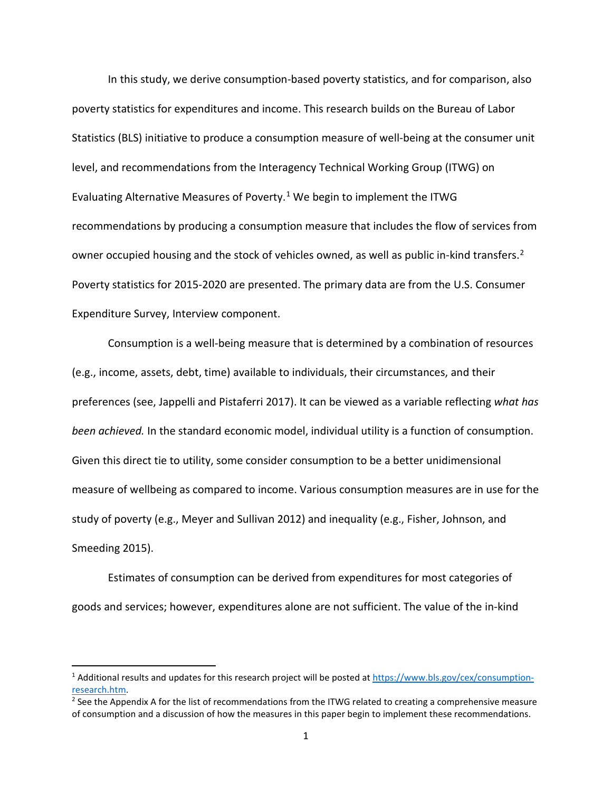In this study, we derive consumption-based poverty statistics, and for comparison, also poverty statistics for expenditures and income. This research builds on the Bureau of Labor Statistics (BLS) initiative to produce a consumption measure of well-being at the consumer unit level, and recommendations from the Interagency Technical Working Group (ITWG) on Evaluating Alternative Measures of Poverty.<sup>[1](#page-2-0)</sup> We begin to implement the ITWG recommendations by producing a consumption measure that includes the flow of services from owner occupied housing and the stock of vehicles owned, as well as public in-kind transfers.<sup>[2](#page-2-1)</sup> Poverty statistics for 2015-2020 are presented. The primary data are from the U.S. Consumer Expenditure Survey, Interview component.

Consumption is a well-being measure that is determined by a combination of resources (e.g., income, assets, debt, time) available to individuals, their circumstances, and their preferences (see, Jappelli and Pistaferri 2017). It can be viewed as a variable reflecting *what has been achieved.* In the standard economic model, individual utility is a function of consumption. Given this direct tie to utility, some consider consumption to be a better unidimensional measure of wellbeing as compared to income. Various consumption measures are in use for the study of poverty (e.g., Meyer and Sullivan 2012) and inequality (e.g., Fisher, Johnson, and Smeeding 2015).

Estimates of consumption can be derived from expenditures for most categories of goods and services; however, expenditures alone are not sufficient. The value of the in-kind

<span id="page-2-0"></span><sup>&</sup>lt;sup>1</sup> Additional results and updates for this research project will be posted at [https://www.bls.gov/cex/consumption](https://www.bls.gov/cex/consumption-research.htm)[research.htm.](https://www.bls.gov/cex/consumption-research.htm)

<span id="page-2-1"></span><sup>&</sup>lt;sup>2</sup> See the Appendix A for the list of recommendations from the ITWG related to creating a comprehensive measure of consumption and a discussion of how the measures in this paper begin to implement these recommendations.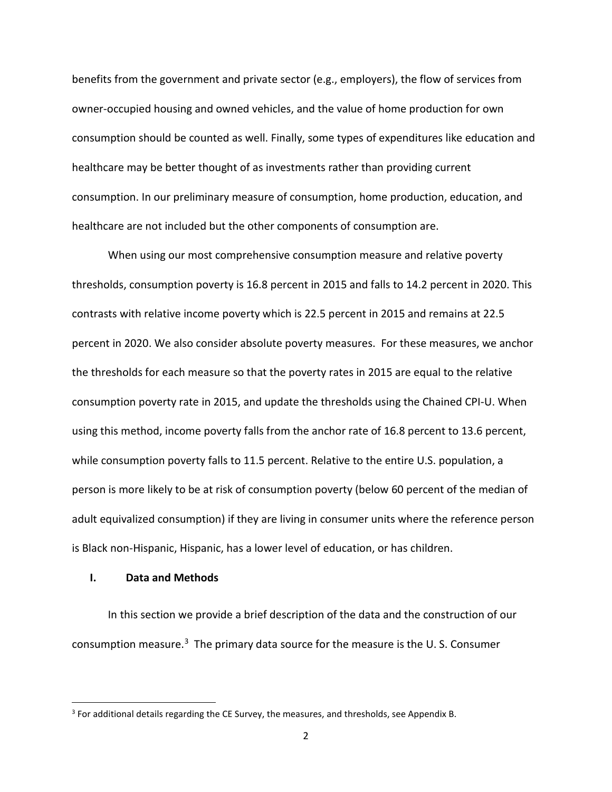benefits from the government and private sector (e.g., employers), the flow of services from owner-occupied housing and owned vehicles, and the value of home production for own consumption should be counted as well. Finally, some types of expenditures like education and healthcare may be better thought of as investments rather than providing current consumption. In our preliminary measure of consumption, home production, education, and healthcare are not included but the other components of consumption are.

When using our most comprehensive consumption measure and relative poverty thresholds, consumption poverty is 16.8 percent in 2015 and falls to 14.2 percent in 2020. This contrasts with relative income poverty which is 22.5 percent in 2015 and remains at 22.5 percent in 2020. We also consider absolute poverty measures. For these measures, we anchor the thresholds for each measure so that the poverty rates in 2015 are equal to the relative consumption poverty rate in 2015, and update the thresholds using the Chained CPI-U. When using this method, income poverty falls from the anchor rate of 16.8 percent to 13.6 percent, while consumption poverty falls to 11.5 percent. Relative to the entire U.S. population, a person is more likely to be at risk of consumption poverty (below 60 percent of the median of adult equivalized consumption) if they are living in consumer units where the reference person is Black non-Hispanic, Hispanic, has a lower level of education, or has children.

#### **I. Data and Methods**

In this section we provide a brief description of the data and the construction of our consumption measure.<sup>3</sup> The primary data source for the measure is the U.S. Consumer

<span id="page-3-0"></span><sup>&</sup>lt;sup>3</sup> For additional details regarding the CE Survey, the measures, and thresholds, see Appendix B.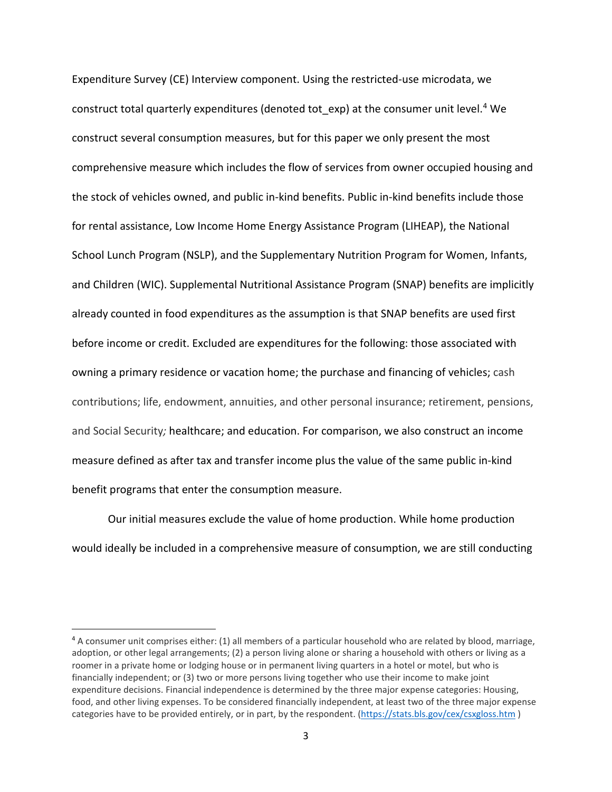Expenditure Survey (CE) Interview component. Using the restricted-use microdata, we construct total quarterly expenditures (denoted tot exp) at the consumer unit level.<sup>4</sup> We construct several consumption measures, but for this paper we only present the most comprehensive measure which includes the flow of services from owner occupied housing and the stock of vehicles owned, and public in-kind benefits. Public in-kind benefits include those for rental assistance, Low Income Home Energy Assistance Program (LIHEAP), the National School Lunch Program (NSLP), and the Supplementary Nutrition Program for Women, Infants, and Children (WIC). Supplemental Nutritional Assistance Program (SNAP) benefits are implicitly already counted in food expenditures as the assumption is that SNAP benefits are used first before income or credit. Excluded are expenditures for the following: those associated with owning a primary residence or vacation home; the purchase and financing of vehicles; cash contributions; life, endowment, annuities, and other personal insurance; retirement, pensions, and Social Security*;* healthcare; and education. For comparison, we also construct an income measure defined as after tax and transfer income plus the value of the same public in-kind benefit programs that enter the consumption measure.

Our initial measures exclude the value of home production. While home production would ideally be included in a comprehensive measure of consumption, we are still conducting

<span id="page-4-0"></span><sup>4</sup> A consumer unit comprises either: (1) all members of a particular household who are related by blood, marriage, adoption, or other legal arrangements; (2) a person living alone or sharing a household with others or living as a roomer in a private home or lodging house or in permanent living quarters in a hotel or motel, but who is financially independent; or (3) two or more persons living together who use their income to make joint expenditure decisions. Financial independence is determined by the three major expense categories: Housing, food, and other living expenses. To be considered financially independent, at least two of the three major expense categories have to be provided entirely, or in part, by the respondent. [\(https://stats.bls.gov/cex/csxgloss.htm](https://stats.bls.gov/cex/csxgloss.htm) )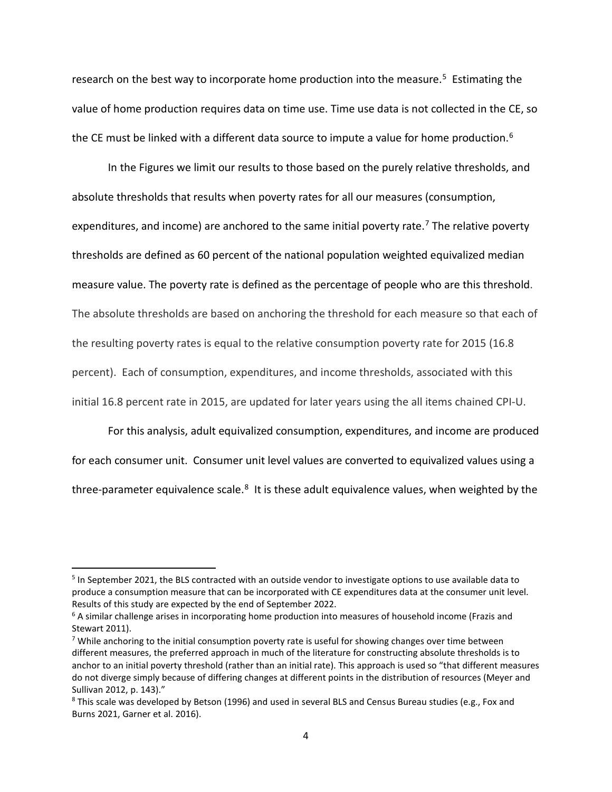research on the best way to incorporate home production into the measure.<sup>5</sup> Estimating the value of home production requires data on time use. Time use data is not collected in the CE, so the CE must be linked with a different data source to impute a value for home production.<sup>[6](#page-5-1)</sup>

In the Figures we limit our results to those based on the purely relative thresholds, and absolute thresholds that results when poverty rates for all our measures (consumption, expenditures, and income) are anchored to the same initial poverty rate.<sup>[7](#page-5-2)</sup> The relative poverty thresholds are defined as 60 percent of the national population weighted equivalized median measure value. The poverty rate is defined as the percentage of people who are this threshold. The absolute thresholds are based on anchoring the threshold for each measure so that each of the resulting poverty rates is equal to the relative consumption poverty rate for 2015 (16.8 percent). Each of consumption, expenditures, and income thresholds, associated with this initial 16.8 percent rate in 2015, are updated for later years using the all items chained CPI-U.

For this analysis, adult equivalized consumption, expenditures, and income are produced for each consumer unit. Consumer unit level values are converted to equivalized values using a three-parameter equivalence scale. $8$  It is these adult equivalence values, when weighted by the

<span id="page-5-0"></span><sup>5</sup> In September 2021, the BLS contracted with an outside vendor to investigate options to use available data to produce a consumption measure that can be incorporated with CE expenditures data at the consumer unit level. Results of this study are expected by the end of September 2022.

<span id="page-5-1"></span><sup>&</sup>lt;sup>6</sup> A similar challenge arises in incorporating home production into measures of household income (Frazis and Stewart 2011).

<span id="page-5-2"></span><sup>&</sup>lt;sup>7</sup> While anchoring to the initial consumption poverty rate is useful for showing changes over time between different measures, the preferred approach in much of the literature for constructing absolute thresholds is to anchor to an initial poverty threshold (rather than an initial rate). This approach is used so "that different measures do not diverge simply because of differing changes at different points in the distribution of resources (Meyer and Sullivan 2012, p. 143)."

<span id="page-5-3"></span><sup>8</sup> This scale was developed by Betson (1996) and used in several BLS and Census Bureau studies (e.g., Fox and Burns 2021, Garner et al. 2016).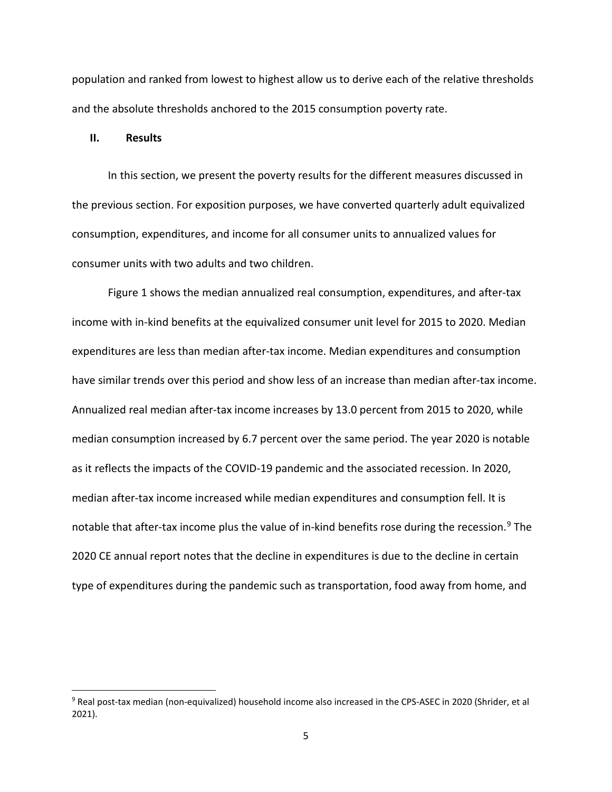population and ranked from lowest to highest allow us to derive each of the relative thresholds and the absolute thresholds anchored to the 2015 consumption poverty rate.

#### **II. Results**

In this section, we present the poverty results for the different measures discussed in the previous section. For exposition purposes, we have converted quarterly adult equivalized consumption, expenditures, and income for all consumer units to annualized values for consumer units with two adults and two children.

Figure 1 shows the median annualized real consumption, expenditures, and after-tax income with in-kind benefits at the equivalized consumer unit level for 2015 to 2020. Median expenditures are less than median after-tax income. Median expenditures and consumption have similar trends over this period and show less of an increase than median after-tax income. Annualized real median after-tax income increases by 13.0 percent from 2015 to 2020, while median consumption increased by 6.7 percent over the same period. The year 2020 is notable as it reflects the impacts of the COVID-19 pandemic and the associated recession. In 2020, median after-tax income increased while median expenditures and consumption fell. It is notable that after-tax income plus the value of in-kind benefits rose during the recession.<sup>[9](#page-6-0)</sup> The 2020 CE annual report notes that the decline in expenditures is due to the decline in certain type of expenditures during the pandemic such as transportation, food away from home, and

<span id="page-6-0"></span><sup>9</sup> Real post-tax median (non-equivalized) household income also increased in the CPS-ASEC in 2020 (Shrider, et al 2021).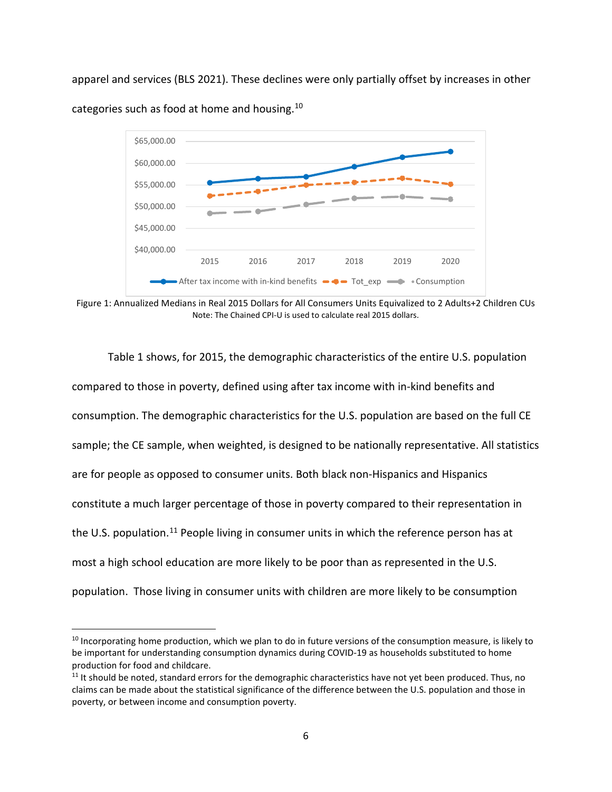apparel and services (BLS 2021). These declines were only partially offset by increases in other





Figure 1: Annualized Medians in Real 2015 Dollars for All Consumers Units Equivalized to 2 Adults+2 Children CUs Note: The Chained CPI-U is used to calculate real 2015 dollars.

Table 1 shows, for 2015, the demographic characteristics of the entire U.S. population compared to those in poverty, defined using after tax income with in-kind benefits and consumption. The demographic characteristics for the U.S. population are based on the full CE sample; the CE sample, when weighted, is designed to be nationally representative. All statistics are for people as opposed to consumer units. Both black non-Hispanics and Hispanics constitute a much larger percentage of those in poverty compared to their representation in the U.S. population.<sup>[11](#page-7-1)</sup> People living in consumer units in which the reference person has at most a high school education are more likely to be poor than as represented in the U.S. population. Those living in consumer units with children are more likely to be consumption

<span id="page-7-0"></span><sup>&</sup>lt;sup>10</sup> Incorporating home production, which we plan to do in future versions of the consumption measure, is likely to be important for understanding consumption dynamics during COVID-19 as households substituted to home production for food and childcare.

<span id="page-7-1"></span><sup>&</sup>lt;sup>11</sup> It should be noted, standard errors for the demographic characteristics have not yet been produced. Thus, no claims can be made about the statistical significance of the difference between the U.S. population and those in poverty, or between income and consumption poverty.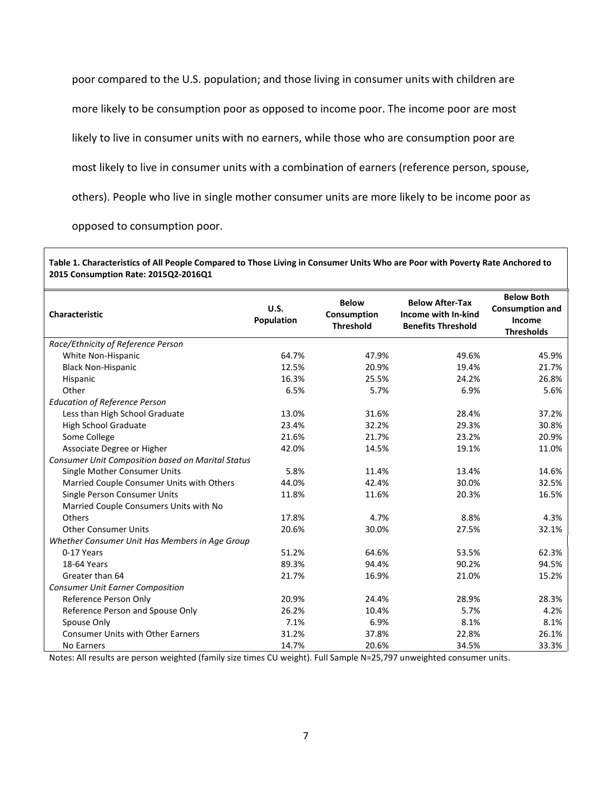poor compared to the U.S. population; and those living in consumer units with children are more likely to be consumption poor as opposed to income poor. The income poor are most likely to live in consumer units with no earners, while those who are consumption poor are most likely to live in consumer units with a combination of earners (reference person, spouse, others). People who live in single mother consumer units are more likely to be income poor as opposed to consumption poor.

**Table 1. Characteristics of All People Compared to Those Living in Consumer Units Who are Poor with Poverty Rate Anchored to 2015 Consumption Rate: 2015Q2-2016Q1**

| <b>Characteristic</b>                                    | U.S.<br>Population | <b>Below</b><br>Consumption<br><b>Threshold</b> | <b>Below After-Tax</b><br>Income with In-kind<br><b>Benefits Threshold</b> | <b>Below Both</b><br><b>Consumption and</b><br>Income<br><b>Thresholds</b> |
|----------------------------------------------------------|--------------------|-------------------------------------------------|----------------------------------------------------------------------------|----------------------------------------------------------------------------|
| Race/Ethnicity of Reference Person                       |                    |                                                 |                                                                            |                                                                            |
| White Non-Hispanic                                       | 64.7%              | 47.9%                                           | 49.6%                                                                      | 45.9%                                                                      |
| <b>Black Non-Hispanic</b>                                | 12.5%              | 20.9%                                           | 19.4%                                                                      | 21.7%                                                                      |
| Hispanic                                                 | 16.3%              | 25.5%                                           | 24.2%                                                                      | 26.8%                                                                      |
| Other                                                    | 6.5%               | 5.7%                                            | 6.9%                                                                       | 5.6%                                                                       |
| <b>Education of Reference Person</b>                     |                    |                                                 |                                                                            |                                                                            |
| Less than High School Graduate                           | 13.0%              | 31.6%                                           | 28.4%                                                                      | 37.2%                                                                      |
| <b>High School Graduate</b>                              | 23.4%              | 32.2%                                           | 29.3%                                                                      | 30.8%                                                                      |
| Some College                                             | 21.6%              | 21.7%                                           | 23.2%                                                                      | 20.9%                                                                      |
| Associate Degree or Higher                               | 42.0%              | 14.5%                                           | 19.1%                                                                      | 11.0%                                                                      |
| <b>Consumer Unit Composition based on Marital Status</b> |                    |                                                 |                                                                            |                                                                            |
| Single Mother Consumer Units                             | 5.8%               | 11.4%                                           | 13.4%                                                                      | 14.6%                                                                      |
| Married Couple Consumer Units with Others                | 44.0%              | 42.4%                                           | 30.0%                                                                      | 32.5%                                                                      |
| Single Person Consumer Units                             | 11.8%              | 11.6%                                           | 20.3%                                                                      | 16.5%                                                                      |
| Married Couple Consumers Units with No                   |                    |                                                 |                                                                            |                                                                            |
| Others                                                   | 17.8%              | 4.7%                                            | 8.8%                                                                       | 4.3%                                                                       |
| <b>Other Consumer Units</b>                              | 20.6%              | 30.0%                                           | 27.5%                                                                      | 32.1%                                                                      |
| Whether Consumer Unit Has Members in Age Group           |                    |                                                 |                                                                            |                                                                            |
| 0-17 Years                                               | 51.2%              | 64.6%                                           | 53.5%                                                                      | 62.3%                                                                      |
| 18-64 Years                                              | 89.3%              | 94.4%                                           | 90.2%                                                                      | 94.5%                                                                      |
| Greater than 64                                          | 21.7%              | 16.9%                                           | 21.0%                                                                      | 15.2%                                                                      |
| <b>Consumer Unit Earner Composition</b>                  |                    |                                                 |                                                                            |                                                                            |
| Reference Person Only                                    | 20.9%              | 24.4%                                           | 28.9%                                                                      | 28.3%                                                                      |
| Reference Person and Spouse Only                         | 26.2%              | 10.4%                                           | 5.7%                                                                       | 4.2%                                                                       |
| Spouse Only                                              | 7.1%               | 6.9%                                            | 8.1%                                                                       | 8.1%                                                                       |
| <b>Consumer Units with Other Earners</b>                 | 31.2%              | 37.8%                                           | 22.8%                                                                      | 26.1%                                                                      |
| No Earners                                               | 14.7%              | 20.6%                                           | 34.5%                                                                      | 33.3%                                                                      |

Notes: All results are person weighted (family size times CU weight). Full Sample N=25,797 unweighted consumer units.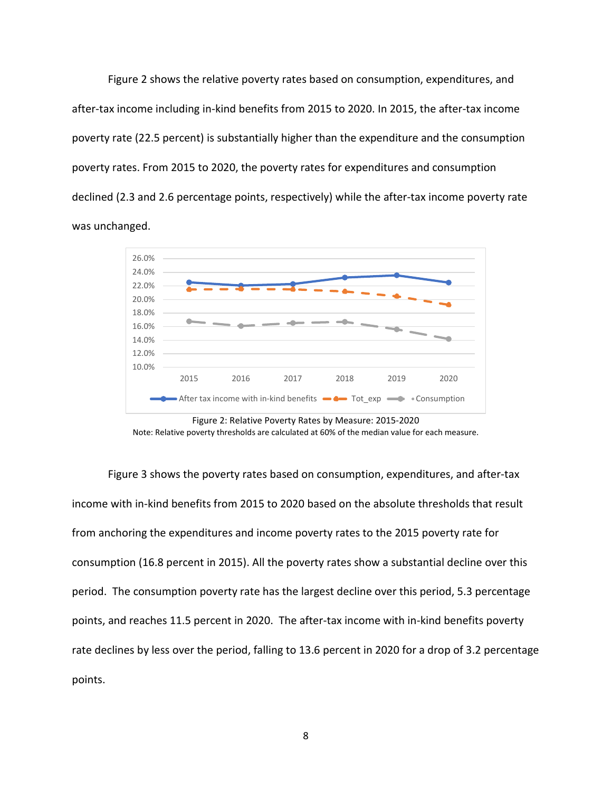Figure 2 shows the relative poverty rates based on consumption, expenditures, and after-tax income including in-kind benefits from 2015 to 2020. In 2015, the after-tax income poverty rate (22.5 percent) is substantially higher than the expenditure and the consumption poverty rates. From 2015 to 2020, the poverty rates for expenditures and consumption declined (2.3 and 2.6 percentage points, respectively) while the after-tax income poverty rate was unchanged.



Figure 2: Relative Poverty Rates by Measure: 2015-2020 Note: Relative poverty thresholds are calculated at 60% of the median value for each measure.

Figure 3 shows the poverty rates based on consumption, expenditures, and after-tax income with in-kind benefits from 2015 to 2020 based on the absolute thresholds that result from anchoring the expenditures and income poverty rates to the 2015 poverty rate for consumption (16.8 percent in 2015). All the poverty rates show a substantial decline over this period. The consumption poverty rate has the largest decline over this period, 5.3 percentage points, and reaches 11.5 percent in 2020. The after-tax income with in-kind benefits poverty rate declines by less over the period, falling to 13.6 percent in 2020 for a drop of 3.2 percentage points.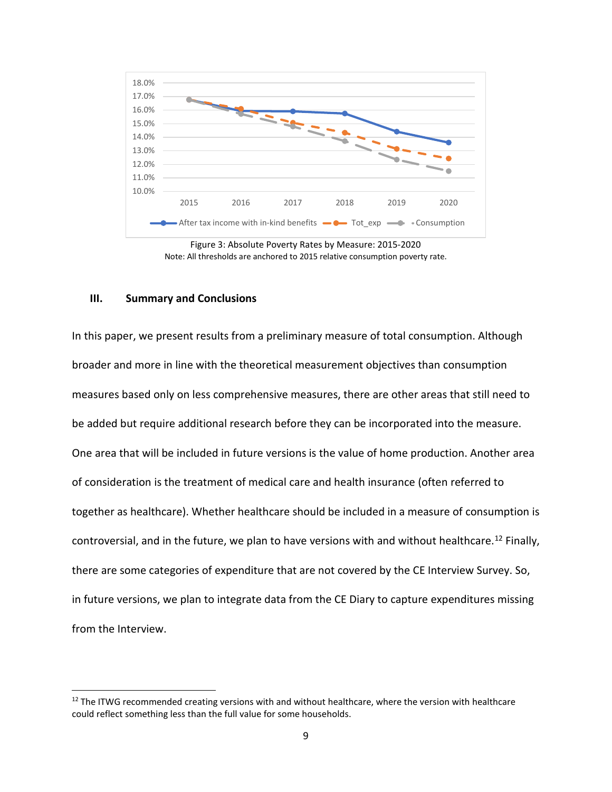

Figure 3: Absolute Poverty Rates by Measure: 2015-2020 Note: All thresholds are anchored to 2015 relative consumption poverty rate.

#### **III. Summary and Conclusions**

In this paper, we present results from a preliminary measure of total consumption. Although broader and more in line with the theoretical measurement objectives than consumption measures based only on less comprehensive measures, there are other areas that still need to be added but require additional research before they can be incorporated into the measure. One area that will be included in future versions is the value of home production. Another area of consideration is the treatment of medical care and health insurance (often referred to together as healthcare). Whether healthcare should be included in a measure of consumption is controversial, and in the future, we plan to have versions with and without healthcare.<sup>[12](#page-10-0)</sup> Finally, there are some categories of expenditure that are not covered by the CE Interview Survey. So, in future versions, we plan to integrate data from the CE Diary to capture expenditures missing from the Interview.

<span id="page-10-0"></span> $12$  The ITWG recommended creating versions with and without healthcare, where the version with healthcare could reflect something less than the full value for some households.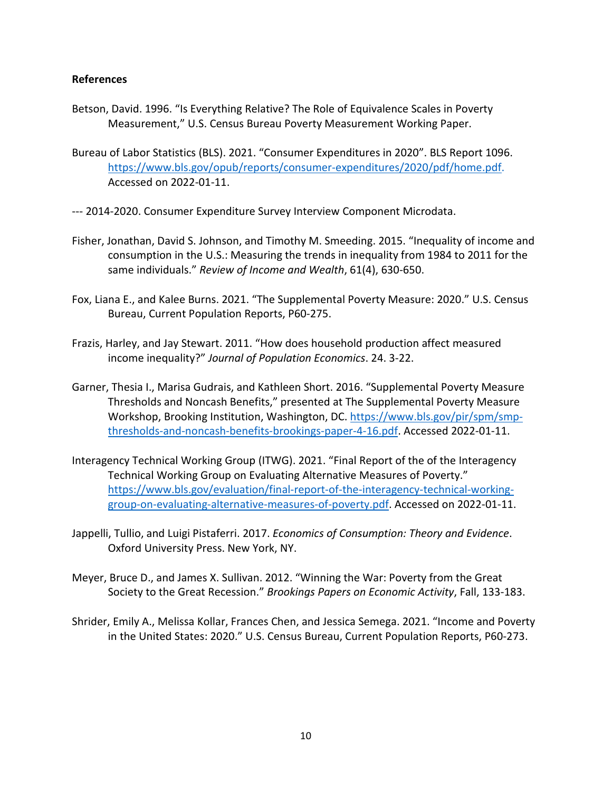### **References**

- Betson, David. 1996. "Is Everything Relative? The Role of Equivalence Scales in Poverty Measurement," U.S. Census Bureau Poverty Measurement Working Paper.
- Bureau of Labor Statistics (BLS). 2021. "Consumer Expenditures in 2020". BLS Report 1096. [https://www.bls.gov/opub/reports/consumer-expenditures/2020/pdf/home.pdf.](https://www.bls.gov/opub/reports/consumer-expenditures/2020/pdf/home.pdf) Accessed on 2022-01-11.
- --- 2014-2020. Consumer Expenditure Survey Interview Component Microdata.
- Fisher, Jonathan, David S. Johnson, and Timothy M. Smeeding. 2015. "Inequality of income and consumption in the U.S.: Measuring the trends in inequality from 1984 to 2011 for the same individuals." *Review of Income and Wealth*, 61(4), 630-650.
- Fox, Liana E., and Kalee Burns. 2021. "The Supplemental Poverty Measure: 2020." U.S. Census Bureau, Current Population Reports, P60-275.
- Frazis, Harley, and Jay Stewart. 2011. "How does household production affect measured income inequality?" *Journal of Population Economics*. 24. 3-22.
- Garner, Thesia I., Marisa Gudrais, and Kathleen Short. 2016. "Supplemental Poverty Measure Thresholds and Noncash Benefits," presented at The Supplemental Poverty Measure Workshop, Brooking Institution, Washington, DC. [https://www.bls.gov/pir/spm/smp](https://www.bls.gov/pir/spm/smp-thresholds-and-noncash-benefits-brookings-paper-4-16.pdf)[thresholds-and-noncash-benefits-brookings-paper-4-16.pdf.](https://www.bls.gov/pir/spm/smp-thresholds-and-noncash-benefits-brookings-paper-4-16.pdf) Accessed 2022-01-11.
- Interagency Technical Working Group (ITWG). 2021. "Final Report of the of the Interagency Technical Working Group on Evaluating Alternative Measures of Poverty." [https://www.bls.gov/evaluation/final-report-of-the-interagency-technical-working](https://www.bls.gov/evaluation/final-report-of-the-interagency-technical-working-group-on-evaluating-alternative-measures-of-poverty.pdf)[group-on-evaluating-alternative-measures-of-poverty.pdf.](https://www.bls.gov/evaluation/final-report-of-the-interagency-technical-working-group-on-evaluating-alternative-measures-of-poverty.pdf) Accessed on 2022-01-11.
- Jappelli, Tullio, and Luigi Pistaferri. 2017. *Economics of Consumption: Theory and Evidence*. Oxford University Press. New York, NY.
- Meyer, Bruce D., and James X. Sullivan. 2012. "Winning the War: Poverty from the Great Society to the Great Recession." *Brookings Papers on Economic Activity*, Fall, 133-183.
- Shrider, Emily A., Melissa Kollar, Frances Chen, and Jessica Semega. 2021. "Income and Poverty in the United States: 2020." U.S. Census Bureau, Current Population Reports, P60-273.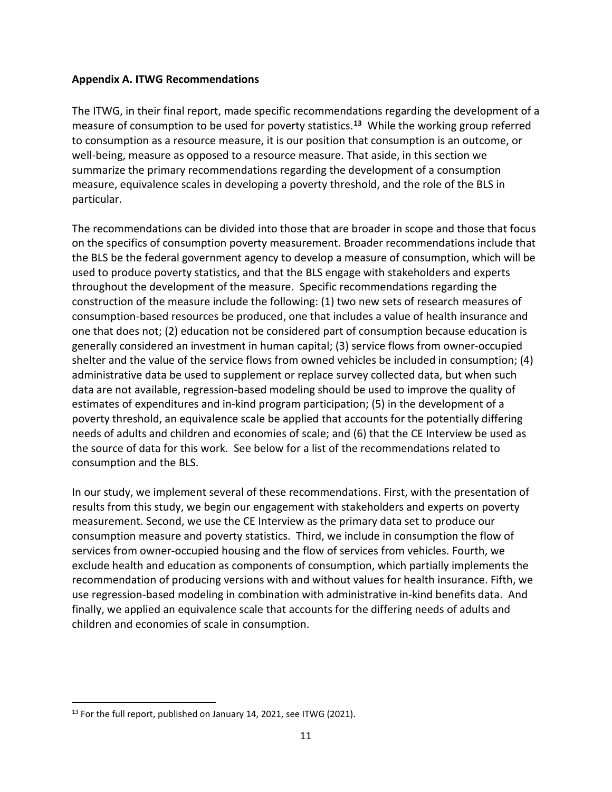## **Appendix A. ITWG Recommendations**

The ITWG, in their final report, made specific recommendations regarding the development of a measure of consumption to be used for poverty statistics.**[13](#page-12-0)** While the working group referred to consumption as a resource measure, it is our position that consumption is an outcome, or well-being, measure as opposed to a resource measure. That aside, in this section we summarize the primary recommendations regarding the development of a consumption measure, equivalence scales in developing a poverty threshold, and the role of the BLS in particular.

The recommendations can be divided into those that are broader in scope and those that focus on the specifics of consumption poverty measurement. Broader recommendations include that the BLS be the federal government agency to develop a measure of consumption, which will be used to produce poverty statistics, and that the BLS engage with stakeholders and experts throughout the development of the measure. Specific recommendations regarding the construction of the measure include the following: (1) two new sets of research measures of consumption-based resources be produced, one that includes a value of health insurance and one that does not; (2) education not be considered part of consumption because education is generally considered an investment in human capital; (3) service flows from owner-occupied shelter and the value of the service flows from owned vehicles be included in consumption; (4) administrative data be used to supplement or replace survey collected data, but when such data are not available, regression-based modeling should be used to improve the quality of estimates of expenditures and in-kind program participation; (5) in the development of a poverty threshold, an equivalence scale be applied that accounts for the potentially differing needs of adults and children and economies of scale; and (6) that the CE Interview be used as the source of data for this work. See below for a list of the recommendations related to consumption and the BLS.

In our study, we implement several of these recommendations. First, with the presentation of results from this study, we begin our engagement with stakeholders and experts on poverty measurement. Second, we use the CE Interview as the primary data set to produce our consumption measure and poverty statistics. Third, we include in consumption the flow of services from owner-occupied housing and the flow of services from vehicles. Fourth, we exclude health and education as components of consumption, which partially implements the recommendation of producing versions with and without values for health insurance. Fifth, we use regression-based modeling in combination with administrative in-kind benefits data. And finally, we applied an equivalence scale that accounts for the differing needs of adults and children and economies of scale in consumption.

<span id="page-12-0"></span><sup>&</sup>lt;sup>13</sup> For the full report, published on January 14, 2021, see ITWG (2021).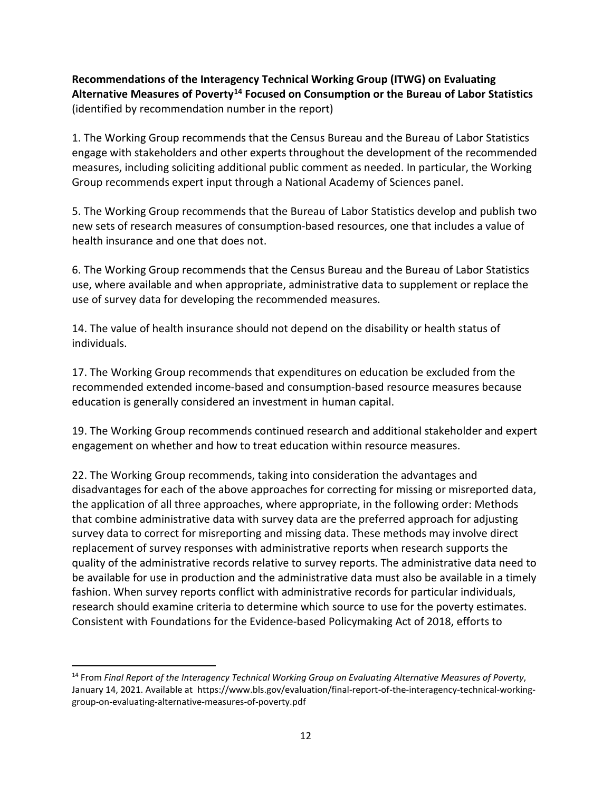# **Recommendations of the Interagency Technical Working Group (ITWG) on Evaluating Alternative Measures of Poverty[14](#page-13-0) Focused on Consumption or the Bureau of Labor Statistics**  (identified by recommendation number in the report)

1. The Working Group recommends that the Census Bureau and the Bureau of Labor Statistics engage with stakeholders and other experts throughout the development of the recommended measures, including soliciting additional public comment as needed. In particular, the Working Group recommends expert input through a National Academy of Sciences panel.

5. The Working Group recommends that the Bureau of Labor Statistics develop and publish two new sets of research measures of consumption-based resources, one that includes a value of health insurance and one that does not.

6. The Working Group recommends that the Census Bureau and the Bureau of Labor Statistics use, where available and when appropriate, administrative data to supplement or replace the use of survey data for developing the recommended measures.

14. The value of health insurance should not depend on the disability or health status of individuals.

17. The Working Group recommends that expenditures on education be excluded from the recommended extended income-based and consumption-based resource measures because education is generally considered an investment in human capital.

19. The Working Group recommends continued research and additional stakeholder and expert engagement on whether and how to treat education within resource measures.

22. The Working Group recommends, taking into consideration the advantages and disadvantages for each of the above approaches for correcting for missing or misreported data, the application of all three approaches, where appropriate, in the following order: Methods that combine administrative data with survey data are the preferred approach for adjusting survey data to correct for misreporting and missing data. These methods may involve direct replacement of survey responses with administrative reports when research supports the quality of the administrative records relative to survey reports. The administrative data need to be available for use in production and the administrative data must also be available in a timely fashion. When survey reports conflict with administrative records for particular individuals, research should examine criteria to determine which source to use for the poverty estimates. Consistent with Foundations for the Evidence-based Policymaking Act of 2018, efforts to

<span id="page-13-0"></span><sup>14</sup> From *Final Report of the Interagency Technical Working Group on Evaluating Alternative Measures of Poverty*, January 14, 2021. Available at https://www.bls.gov/evaluation/final-report-of-the-interagency-technical-workinggroup-on-evaluating-alternative-measures-of-poverty.pdf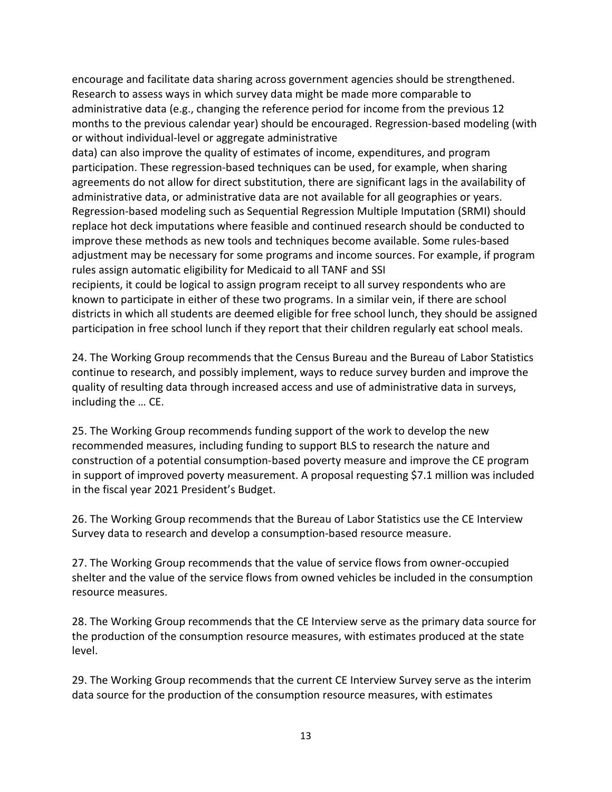encourage and facilitate data sharing across government agencies should be strengthened. Research to assess ways in which survey data might be made more comparable to administrative data (e.g., changing the reference period for income from the previous 12 months to the previous calendar year) should be encouraged. Regression-based modeling (with or without individual-level or aggregate administrative

data) can also improve the quality of estimates of income, expenditures, and program participation. These regression-based techniques can be used, for example, when sharing agreements do not allow for direct substitution, there are significant lags in the availability of administrative data, or administrative data are not available for all geographies or years. Regression-based modeling such as Sequential Regression Multiple Imputation (SRMI) should replace hot deck imputations where feasible and continued research should be conducted to improve these methods as new tools and techniques become available. Some rules-based adjustment may be necessary for some programs and income sources. For example, if program rules assign automatic eligibility for Medicaid to all TANF and SSI

recipients, it could be logical to assign program receipt to all survey respondents who are known to participate in either of these two programs. In a similar vein, if there are school districts in which all students are deemed eligible for free school lunch, they should be assigned participation in free school lunch if they report that their children regularly eat school meals.

24. The Working Group recommends that the Census Bureau and the Bureau of Labor Statistics continue to research, and possibly implement, ways to reduce survey burden and improve the quality of resulting data through increased access and use of administrative data in surveys, including the … CE.

25. The Working Group recommends funding support of the work to develop the new recommended measures, including funding to support BLS to research the nature and construction of a potential consumption-based poverty measure and improve the CE program in support of improved poverty measurement. A proposal requesting \$7.1 million was included in the fiscal year 2021 President's Budget.

26. The Working Group recommends that the Bureau of Labor Statistics use the CE Interview Survey data to research and develop a consumption-based resource measure.

27. The Working Group recommends that the value of service flows from owner-occupied shelter and the value of the service flows from owned vehicles be included in the consumption resource measures.

28. The Working Group recommends that the CE Interview serve as the primary data source for the production of the consumption resource measures, with estimates produced at the state level.

29. The Working Group recommends that the current CE Interview Survey serve as the interim data source for the production of the consumption resource measures, with estimates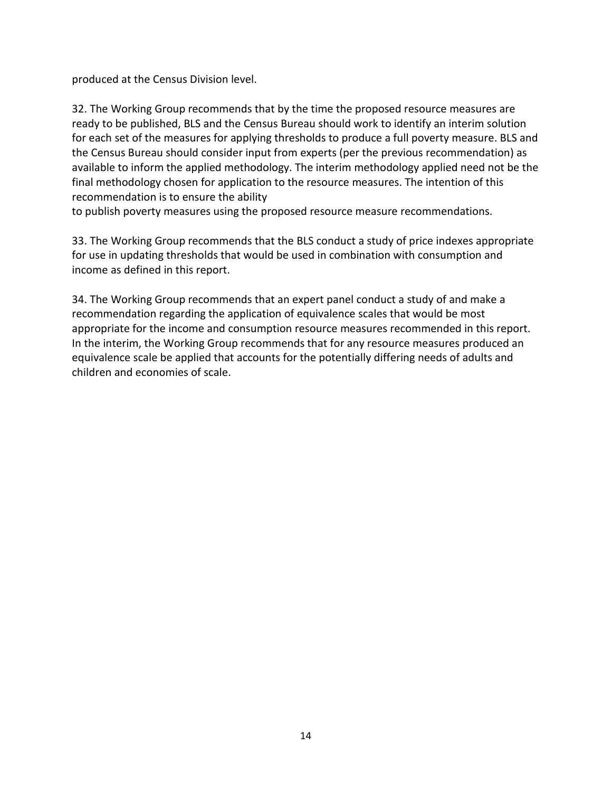produced at the Census Division level.

32. The Working Group recommends that by the time the proposed resource measures are ready to be published, BLS and the Census Bureau should work to identify an interim solution for each set of the measures for applying thresholds to produce a full poverty measure. BLS and the Census Bureau should consider input from experts (per the previous recommendation) as available to inform the applied methodology. The interim methodology applied need not be the final methodology chosen for application to the resource measures. The intention of this recommendation is to ensure the ability

to publish poverty measures using the proposed resource measure recommendations.

33. The Working Group recommends that the BLS conduct a study of price indexes appropriate for use in updating thresholds that would be used in combination with consumption and income as defined in this report.

34. The Working Group recommends that an expert panel conduct a study of and make a recommendation regarding the application of equivalence scales that would be most appropriate for the income and consumption resource measures recommended in this report. In the interim, the Working Group recommends that for any resource measures produced an equivalence scale be applied that accounts for the potentially differing needs of adults and children and economies of scale.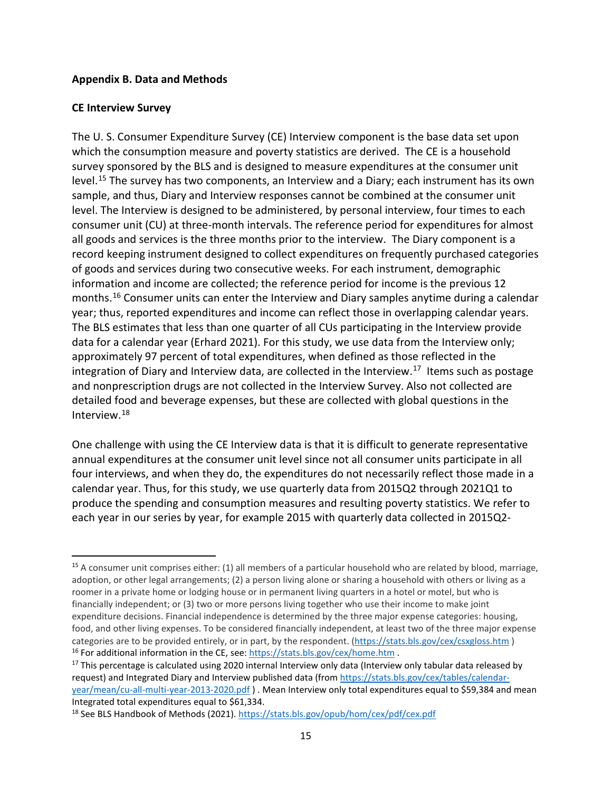#### **Appendix B. Data and Methods**

#### **CE Interview Survey**

The U. S. Consumer Expenditure Survey (CE) Interview component is the base data set upon which the consumption measure and poverty statistics are derived. The CE is a household survey sponsored by the BLS and is designed to measure expenditures at the consumer unit level.<sup>[15](#page-16-0)</sup> The survey has two components, an Interview and a Diary; each instrument has its own sample, and thus, Diary and Interview responses cannot be combined at the consumer unit level. The Interview is designed to be administered, by personal interview, four times to each consumer unit (CU) at three-month intervals. The reference period for expenditures for almost all goods and services is the three months prior to the interview. The Diary component is a record keeping instrument designed to collect expenditures on frequently purchased categories of goods and services during two consecutive weeks. For each instrument, demographic information and income are collected; the reference period for income is the previous 12 months.[16](#page-16-1) Consumer units can enter the Interview and Diary samples anytime during a calendar year; thus, reported expenditures and income can reflect those in overlapping calendar years. The BLS estimates that less than one quarter of all CUs participating in the Interview provide data for a calendar year (Erhard 2021). For this study, we use data from the Interview only; approximately 97 percent of total expenditures, when defined as those reflected in the integration of Diary and Interview data, are collected in the Interview.<sup>17</sup> Items such as postage and nonprescription drugs are not collected in the Interview Survey. Also not collected are detailed food and beverage expenses, but these are collected with global questions in the Interview.[18](#page-16-3)

One challenge with using the CE Interview data is that it is difficult to generate representative annual expenditures at the consumer unit level since not all consumer units participate in all four interviews, and when they do, the expenditures do not necessarily reflect those made in a calendar year. Thus, for this study, we use quarterly data from 2015Q2 through 2021Q1 to produce the spending and consumption measures and resulting poverty statistics. We refer to each year in our series by year, for example 2015 with quarterly data collected in 2015Q2-

<span id="page-16-0"></span><sup>&</sup>lt;sup>15</sup> A consumer unit comprises either: (1) all members of a particular household who are related by blood, marriage, adoption, or other legal arrangements; (2) a person living alone or sharing a household with others or living as a roomer in a private home or lodging house or in permanent living quarters in a hotel or motel, but who is financially independent; or (3) two or more persons living together who use their income to make joint expenditure decisions. Financial independence is determined by the three major expense categories: housing, food, and other living expenses. To be considered financially independent, at least two of the three major expense categories are to be provided entirely, or in part, by the respondent. [\(https://stats.bls.gov/cex/csxgloss.htm](https://stats.bls.gov/cex/csxgloss.htm) ) <sup>16</sup> For additional information in the CE, see[: https://stats.bls.gov/cex/home.htm](https://stats.bls.gov/cex/home.htm).

<span id="page-16-2"></span><span id="page-16-1"></span> $17$  This percentage is calculated using 2020 internal Interview only data (Interview only tabular data released by request) and Integrated Diary and Interview published data (fro[m https://stats.bls.gov/cex/tables/calendar](https://stats.bls.gov/cex/tables/calendar-year/mean/cu-all-multi-year-2013-2020.pdf)[year/mean/cu-all-multi-year-2013-2020.pdf](https://stats.bls.gov/cex/tables/calendar-year/mean/cu-all-multi-year-2013-2020.pdf) ) . Mean Interview only total expenditures equal to \$59,384 and mean Integrated total expenditures equal to \$61,334.

<span id="page-16-3"></span><sup>18</sup> See BLS Handbook of Methods (2021). <https://stats.bls.gov/opub/hom/cex/pdf/cex.pdf>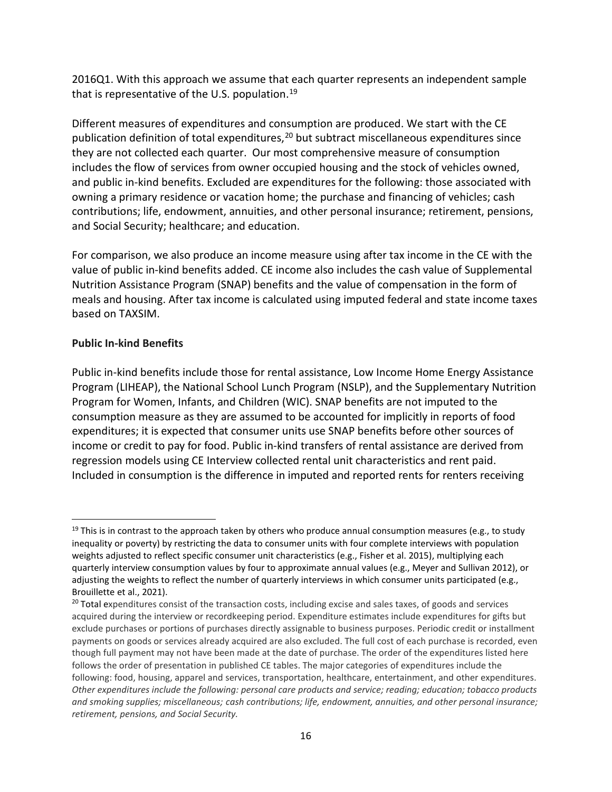2016Q1. With this approach we assume that each quarter represents an independent sample that is representative of the U.S. population.<sup>19</sup>

Different measures of expenditures and consumption are produced. We start with the CE publication definition of total expenditures,<sup>[20](#page-17-1)</sup> but subtract miscellaneous expenditures since they are not collected each quarter. Our most comprehensive measure of consumption includes the flow of services from owner occupied housing and the stock of vehicles owned, and public in-kind benefits. Excluded are expenditures for the following: those associated with owning a primary residence or vacation home; the purchase and financing of vehicles; cash contributions; life, endowment, annuities, and other personal insurance; retirement, pensions, and Social Security; healthcare; and education.

For comparison, we also produce an income measure using after tax income in the CE with the value of public in-kind benefits added. CE income also includes the cash value of Supplemental Nutrition Assistance Program (SNAP) benefits and the value of compensation in the form of meals and housing. After tax income is calculated using imputed federal and state income taxes based on TAXSIM.

## **Public In-kind Benefits**

Public in-kind benefits include those for rental assistance, Low Income Home Energy Assistance Program (LIHEAP), the National School Lunch Program (NSLP), and the Supplementary Nutrition Program for Women, Infants, and Children (WIC). SNAP benefits are not imputed to the consumption measure as they are assumed to be accounted for implicitly in reports of food expenditures; it is expected that consumer units use SNAP benefits before other sources of income or credit to pay for food. Public in-kind transfers of rental assistance are derived from regression models using CE Interview collected rental unit characteristics and rent paid. Included in consumption is the difference in imputed and reported rents for renters receiving

<span id="page-17-0"></span> $19$  This is in contrast to the approach taken by others who produce annual consumption measures (e.g., to study inequality or poverty) by restricting the data to consumer units with four complete interviews with population weights adjusted to reflect specific consumer unit characteristics (e.g., Fisher et al. 2015), multiplying each quarterly interview consumption values by four to approximate annual values (e.g., Meyer and Sullivan 2012), or adjusting the weights to reflect the number of quarterly interviews in which consumer units participated (e.g., Brouillette et al., 2021).

<span id="page-17-1"></span><sup>&</sup>lt;sup>20</sup> Total expenditures consist of the transaction costs, including excise and sales taxes, of goods and services acquired during the interview or recordkeeping period. Expenditure estimates include expenditures for gifts but exclude purchases or portions of purchases directly assignable to business purposes. Periodic credit or installment payments on goods or services already acquired are also excluded. The full cost of each purchase is recorded, even though full payment may not have been made at the date of purchase. The order of the expenditures listed here follows the order of presentation in published CE tables. The major categories of expenditures include the following: food, housing, apparel and services, transportation, healthcare, entertainment, and other expenditures. *Other expenditures include the following: personal care products and service; reading; education; tobacco products and smoking supplies; miscellaneous; cash contributions; life, endowment, annuities, and other personal insurance; retirement, pensions, and Social Security.*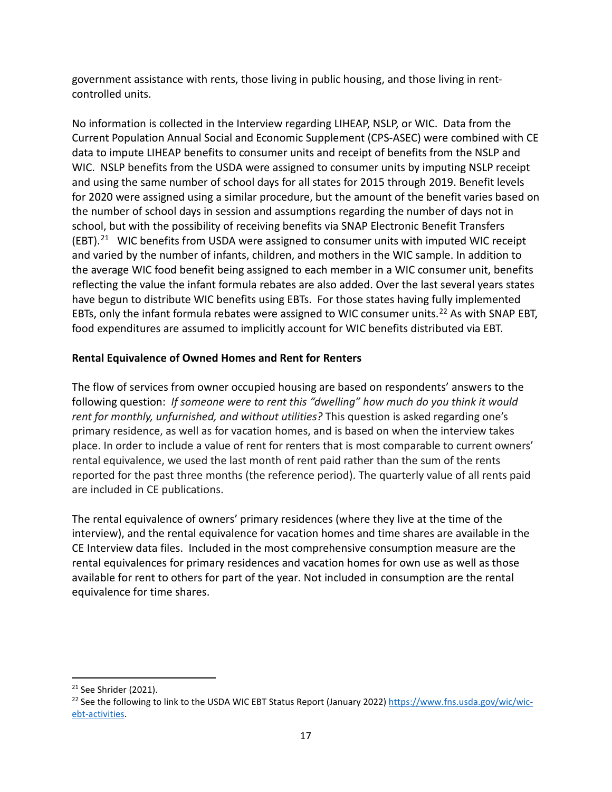government assistance with rents, those living in public housing, and those living in rentcontrolled units.

No information is collected in the Interview regarding LIHEAP, NSLP, or WIC. Data from the Current Population Annual Social and Economic Supplement (CPS-ASEC) were combined with CE data to impute LIHEAP benefits to consumer units and receipt of benefits from the NSLP and WIC. NSLP benefits from the USDA were assigned to consumer units by imputing NSLP receipt and using the same number of school days for all states for 2015 through 2019. Benefit levels for 2020 were assigned using a similar procedure, but the amount of the benefit varies based on the number of school days in session and assumptions regarding the number of days not in school, but with the possibility of receiving benefits via SNAP Electronic Benefit Transfers (EBT).[21](#page-18-0) WIC benefits from USDA were assigned to consumer units with imputed WIC receipt and varied by the number of infants, children, and mothers in the WIC sample. In addition to the average WIC food benefit being assigned to each member in a WIC consumer unit, benefits reflecting the value the infant formula rebates are also added. Over the last several years states have begun to distribute WIC benefits using EBTs. For those states having fully implemented EBTs, only the infant formula rebates were assigned to WIC consumer units.<sup>[22](#page-18-1)</sup> As with SNAP EBT, food expenditures are assumed to implicitly account for WIC benefits distributed via EBT.

## **Rental Equivalence of Owned Homes and Rent for Renters**

The flow of services from owner occupied housing are based on respondents' answers to the following question: *If someone were to rent this "dwelling" how much do you think it would rent for monthly, unfurnished, and without utilities?* This question is asked regarding one's primary residence, as well as for vacation homes, and is based on when the interview takes place. In order to include a value of rent for renters that is most comparable to current owners' rental equivalence, we used the last month of rent paid rather than the sum of the rents reported for the past three months (the reference period). The quarterly value of all rents paid are included in CE publications.

The rental equivalence of owners' primary residences (where they live at the time of the interview), and the rental equivalence for vacation homes and time shares are available in the CE Interview data files. Included in the most comprehensive consumption measure are the rental equivalences for primary residences and vacation homes for own use as well as those available for rent to others for part of the year. Not included in consumption are the rental equivalence for time shares.

<span id="page-18-0"></span><sup>21</sup> See Shrider (2021).

<span id="page-18-1"></span><sup>&</sup>lt;sup>22</sup> See the following to link to the USDA WIC EBT Status Report (January 2022) [https://www.fns.usda.gov/wic/wic](https://www.fns.usda.gov/wic/wic-ebt-activities)[ebt-activities.](https://www.fns.usda.gov/wic/wic-ebt-activities)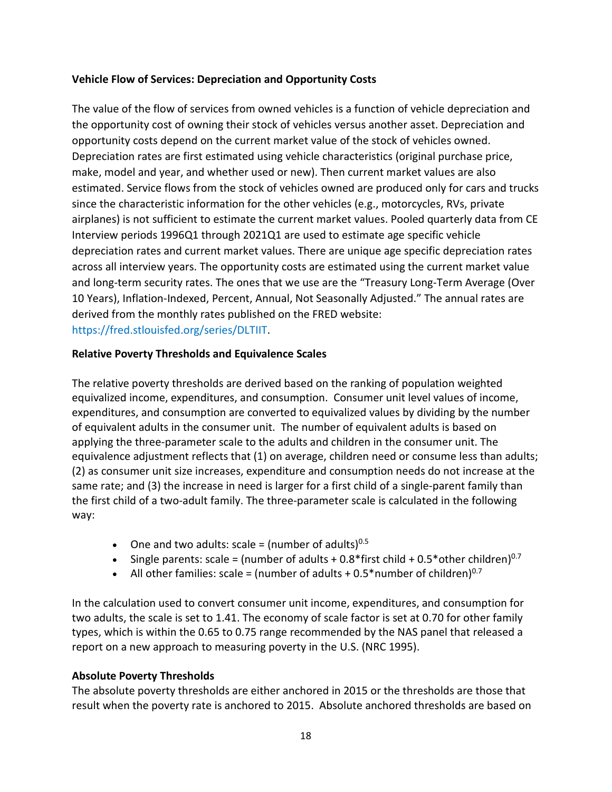## **Vehicle Flow of Services: Depreciation and Opportunity Costs**

The value of the flow of services from owned vehicles is a function of vehicle depreciation and the opportunity cost of owning their stock of vehicles versus another asset. Depreciation and opportunity costs depend on the current market value of the stock of vehicles owned. Depreciation rates are first estimated using vehicle characteristics (original purchase price, make, model and year, and whether used or new). Then current market values are also estimated. Service flows from the stock of vehicles owned are produced only for cars and trucks since the characteristic information for the other vehicles (e.g., motorcycles, RVs, private airplanes) is not sufficient to estimate the current market values. Pooled quarterly data from CE Interview periods 1996Q1 through 2021Q1 are used to estimate age specific vehicle depreciation rates and current market values. There are unique age specific depreciation rates across all interview years. The opportunity costs are estimated using the current market value and long-term security rates. The ones that we use are the "Treasury Long-Term Average (Over 10 Years), Inflation-Indexed, Percent, Annual, Not Seasonally Adjusted." The annual rates are derived from the monthly rates published on the FRED website: https://fred.stlouisfed.org/series/DLTIIT.

## **Relative Poverty Thresholds and Equivalence Scales**

The relative poverty thresholds are derived based on the ranking of population weighted equivalized income, expenditures, and consumption. Consumer unit level values of income, expenditures, and consumption are converted to equivalized values by dividing by the number of equivalent adults in the consumer unit. The number of equivalent adults is based on applying the three-parameter scale to the adults and children in the consumer unit. The equivalence adjustment reflects that (1) on average, children need or consume less than adults; (2) as consumer unit size increases, expenditure and consumption needs do not increase at the same rate; and (3) the increase in need is larger for a first child of a single-parent family than the first child of a two-adult family. The three-parameter scale is calculated in the following way:

- One and two adults: scale = (number of adults) $0.5$
- Single parents: scale = (number of adults +  $0.8*$  first child +  $0.5*$  other children)<sup>0.7</sup>
- All other families: scale = (number of adults +  $0.5*$ number of children)<sup>0.7</sup>

In the calculation used to convert consumer unit income, expenditures, and consumption for two adults, the scale is set to 1.41. The economy of scale factor is set at 0.70 for other family types, which is within the 0.65 to 0.75 range recommended by the NAS panel that released a report on a new approach to measuring poverty in the U.S. (NRC 1995).

## **Absolute Poverty Thresholds**

The absolute poverty thresholds are either anchored in 2015 or the thresholds are those that result when the poverty rate is anchored to 2015. Absolute anchored thresholds are based on